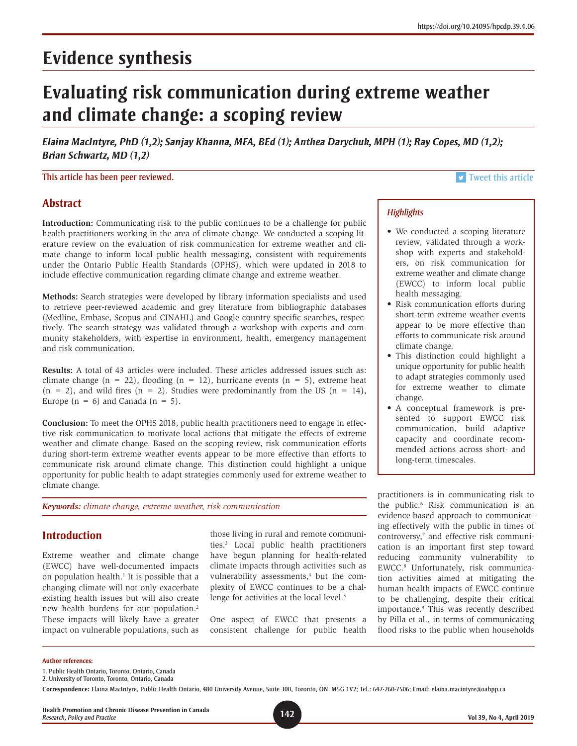# **Evidence synthesis**

# **Evaluating risk communication during extreme weather and climate change: a scoping review**

*Elaina MacIntyre, PhD (1,2); Sanjay Khanna, MFA, BEd (1); Anthea Darychuk, MPH (1); Ray Copes, MD (1,2); Brian Schwartz, MD (1,2)*

This article has been peer reviewed. This article is a state of the state of the state of the state of the state of the state of the state of the state of the state of the state of the state of the state of the state of th

• We conducted a scoping literature review, validated through a workshop with experts and stakeholders, on risk communication for extreme weather and climate change (EWCC) to inform local public

• Risk communication efforts during short-term extreme weather events appear to be more effective than efforts to communicate risk around

• This distinction could highlight a unique opportunity for public health to adapt strategies commonly used for extreme weather to climate

• A conceptual framework is presented to support EWCC risk communication, build adaptive capacity and coordinate recommended actions across short- and

long-term timescales.

*Highlights*

health messaging.

climate change.

change.

# **Abstract**

**Introduction:** Communicating risk to the public continues to be a challenge for public health practitioners working in the area of climate change. We conducted a scoping literature review on the evaluation of risk communication for extreme weather and climate change to inform local public health messaging, consistent with requirements under the Ontario Public Health Standards (OPHS), which were updated in 2018 to include effective communication regarding climate change and extreme weather.

**Methods:** Search strategies were developed by library information specialists and used to retrieve peer-reviewed academic and grey literature from bibliographic databases (Medline, Embase, Scopus and CINAHL) and Google country specific searches, respectively. The search strategy was validated through a workshop with experts and community stakeholders, with expertise in environment, health, emergency management and risk communication.

**Results:** A total of 43 articles were included. These articles addressed issues such as: climate change  $(n = 22)$ , flooding  $(n = 12)$ , hurricane events  $(n = 5)$ , extreme heat  $(n = 2)$ , and wild fires  $(n = 2)$ . Studies were predominantly from the US  $(n = 14)$ , Europe  $(n = 6)$  and Canada  $(n = 5)$ .

**Conclusion:** To meet the OPHS 2018, public health practitioners need to engage in effective risk communication to motivate local actions that mitigate the effects of extreme weather and climate change. Based on the scoping review, risk communication efforts during short-term extreme weather events appear to be more effective than efforts to communicate risk around climate change. This distinction could highlight a unique opportunity for public health to adapt strategies commonly used for extreme weather to climate change.

*Keywords: climate change, extreme weather, risk communication*

# **Introduction**

Extreme weather and climate change (EWCC) have well-documented impacts on population health.<sup>1</sup> It is possible that a changing climate will not only exacerbate existing health issues but will also create new health burdens for our population.2 These impacts will likely have a greater impact on vulnerable populations, such as

those living in rural and remote communities.3 Local public health practitioners have begun planning for health-related climate impacts through activities such as vulnerability assessments,<sup>4</sup> but the complexity of EWCC continues to be a challenge for activities at the local level.<sup>5</sup>

One aspect of EWCC that presents a consistent challenge for public health practitioners is in communicating risk to the public.6 Risk communication is an evidence-based approach to communicating effectively with the public in times of controversy,<sup>7</sup> and effective risk communication is an important first step toward reducing community vulnerability to EWCC.8 Unfortunately, risk communication activities aimed at mitigating the human health impacts of EWCC continue to be challenging, despite their critical importance.9 This was recently described by Pilla et al., in terms of communicating flood risks to the public when households

#### **Author references:**

- 1. Public Health Ontario, Toronto, Ontario, Canada
- 2. University of Toronto, Toronto, Ontario, Canada

**Health Promotion and Chronic Disease Prevention in Canada** *Research, Policy and Practice* **142 Vol 39, No 4, April 2019**

**Correspondence:** Elaina MacIntyre, Public Health Ontario, 480 University Avenue, Suite 300, Toronto, ON M5G 1V2; Tel.: 647-260-7506; Email: [elaina.macintyre@oahpp.ca](mailto:elaina.macintyre@oahpp.ca)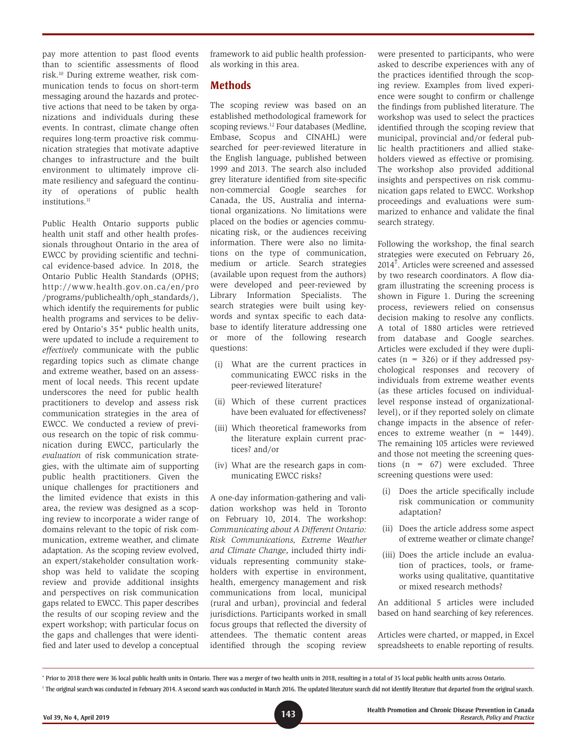pay more attention to past flood events than to scientific assessments of flood risk.10 During extreme weather, risk communication tends to focus on short-term messaging around the hazards and protective actions that need to be taken by organizations and individuals during these events. In contrast, climate change often requires long-term proactive risk communication strategies that motivate adaptive changes to infrastructure and the built environment to ultimately improve climate resiliency and safeguard the continuity of operations of public health institutions.<sup>11</sup>

Public Health Ontario supports public health unit staff and other health professionals throughout Ontario in the area of EWCC by providing scientific and technical evidence-based advice. In 2018, the Ontario Public Health Standards (OPHS; http://www.health.gov.on.ca/en/pro /programs/publichealth/oph\_standards/), which identify the requirements for public health programs and services to be delivered by Ontario's 35\* public health units, were updated to include a requirement to *effectively* communicate with the public regarding topics such as climate change and extreme weather, based on an assessment of local needs. This recent update underscores the need for public health practitioners to develop and assess risk communication strategies in the area of EWCC. We conducted a review of previous research on the topic of risk communication during EWCC, particularly the *evaluation* of risk communication strategies, with the ultimate aim of supporting public health practitioners. Given the unique challenges for practitioners and the limited evidence that exists in this area, the review was designed as a scoping review to incorporate a wider range of domains relevant to the topic of risk communication, extreme weather, and climate adaptation. As the scoping review evolved, an expert/stakeholder consultation workshop was held to validate the scoping review and provide additional insights and perspectives on risk communication gaps related to EWCC. This paper describes the results of our scoping review and the expert workshop; with particular focus on the gaps and challenges that were identified and later used to develop a conceptual framework to aid public health professionals working in this area.

### **Methods**

The scoping review was based on an established methodological framework for scoping reviews.<sup>12</sup> Four databases (Medline, Embase, Scopus and CINAHL) were searched for peer-reviewed literature in the English language, published between 1999 and 2013. The search also included grey literature identified from site-specific non-commercial Google searches for Canada, the US, Australia and international organizations. No limitations were placed on the bodies or agencies communicating risk, or the audiences receiving information. There were also no limitations on the type of communication, medium or article. Search strategies (available upon request from the authors) were developed and peer-reviewed by Library Information Specialists. The search strategies were built using keywords and syntax specific to each database to identify literature addressing one or more of the following research questions:

- (i) What are the current practices in communicating EWCC risks in the peer-reviewed literature?
- (ii) Which of these current practices have been evaluated for effectiveness?
- (iii) Which theoretical frameworks from the literature explain current practices? and/or
- (iv) What are the research gaps in communicating EWCC risks?

A one-day information-gathering and validation workshop was held in Toronto on February 10, 2014. The workshop: *Communicating about A Different Ontario: Risk Communications, Extreme Weather and Climate Change*, included thirty individuals representing community stakeholders with expertise in environment, health, emergency management and risk communications from local, municipal (rural and urban), provincial and federal jurisdictions. Participants worked in small focus groups that reflected the diversity of attendees. The thematic content areas identified through the scoping review were presented to participants, who were asked to describe experiences with any of the practices identified through the scoping review. Examples from lived experience were sought to confirm or challenge the findings from published literature. The workshop was used to select the practices identified through the scoping review that municipal, provincial and/or federal public health practitioners and allied stakeholders viewed as effective or promising. The workshop also provided additional insights and perspectives on risk communication gaps related to EWCC. Workshop proceedings and evaluations were summarized to enhance and validate the final search strategy.

Following the workshop, the final search strategies were executed on February 26, 2014† . Articles were screened and assessed by two research coordinators. A flow diagram illustrating the screening process is shown in Figure 1. During the screening process, reviewers relied on consensus decision making to resolve any conflicts. A total of 1880 articles were retrieved from database and Google searches. Articles were excluded if they were duplicates  $(n = 326)$  or if they addressed psychological responses and recovery of individuals from extreme weather events (as these articles focused on individuallevel response instead of organizationallevel), or if they reported solely on climate change impacts in the absence of references to extreme weather  $(n = 1449)$ . The remaining 105 articles were reviewed and those not meeting the screening questions (n = 67) were excluded. Three screening questions were used:

- (i) Does the article specifically include risk communication or community adaptation?
- (ii) Does the article address some aspect of extreme weather or climate change?
- (iii) Does the article include an evaluation of practices, tools, or frameworks using qualitative, quantitative or mixed research methods?

An additional 5 articles were included based on hand searching of key references.

Articles were charted, or mapped, in Excel spreadsheets to enable reporting of results.

<sup>\*</sup> Prior to 2018 there were 36 local public health units in Ontario. There was a merger of two health units in 2018, resulting in a total of 35 local public health units across Ontario.

<sup>†</sup> The original search was conducted in February 2014. A second search was conducted in March 2016. The updated literature search did not identify literature that departed from the original search.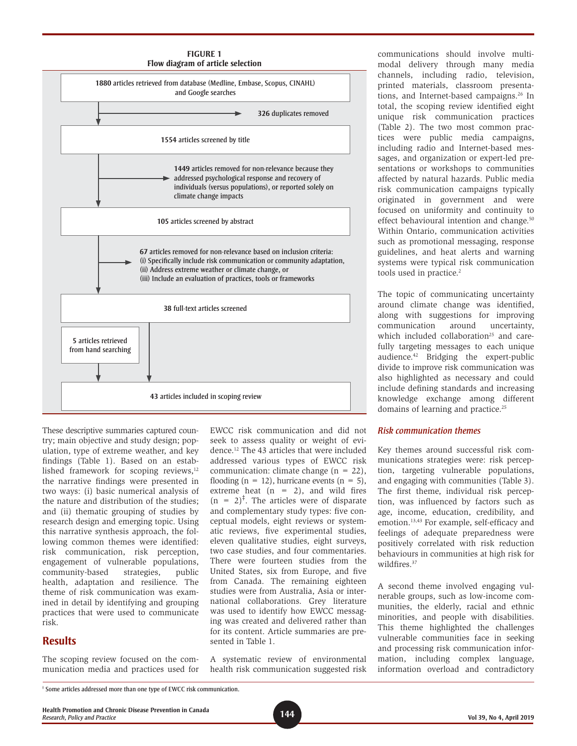



These descriptive summaries captured country; main objective and study design; population, type of extreme weather, and key findings (Table 1). Based on an established framework for scoping reviews,<sup>12</sup> the narrative findings were presented in two ways: (i) basic numerical analysis of the nature and distribution of the studies; and (ii) thematic grouping of studies by research design and emerging topic. Using this narrative synthesis approach, the following common themes were identified: risk communication, risk perception, engagement of vulnerable populations, community-based strategies, public health, adaptation and resilience. The theme of risk communication was examined in detail by identifying and grouping practices that were used to communicate risk.

### **Results**

The scoping review focused on the communication media and practices used for EWCC risk communication and did not seek to assess quality or weight of evidence.12 The 43 articles that were included addressed various types of EWCC risk communication: climate change  $(n = 22)$ , flooding ( $n = 12$ ), hurricane events ( $n = 5$ ), extreme heat  $(n = 2)$ , and wild fires  $(n = 2)^{\ddagger}$ . The articles were of disparate and complementary study types: five conceptual models, eight reviews or systematic reviews, five experimental studies, eleven qualitative studies, eight surveys, two case studies, and four commentaries. There were fourteen studies from the United States, six from Europe, and five from Canada. The remaining eighteen studies were from Australia, Asia or international collaborations. Grey literature was used to identify how EWCC messaging was created and delivered rather than for its content. Article summaries are presented in Table 1.

A systematic review of environmental health risk communication suggested risk

communications should involve multimodal delivery through many media channels, including radio, television, printed materials, classroom presentations, and Internet-based campaigns.<sup>26</sup> In total, the scoping review identified eight unique risk communication practices (Table 2). The two most common practices were public media campaigns, including radio and Internet-based messages, and organization or expert-led presentations or workshops to communities affected by natural hazards. Public media risk communication campaigns typically originated in government and were focused on uniformity and continuity to effect behavioural intention and change.<sup>50</sup> Within Ontario, communication activities such as promotional messaging, response guidelines, and heat alerts and warning systems were typical risk communication tools used in practice.<sup>2</sup>

The topic of communicating uncertainty around climate change was identified, along with suggestions for improving communication around uncertainty, which included collaboration $25$  and carefully targeting messages to each unique audience.42 Bridging the expert-public divide to improve risk communication was also highlighted as necessary and could include defining standards and increasing knowledge exchange among different domains of learning and practice.<sup>25</sup>

#### *Risk communication themes*

Key themes around successful risk communications strategies were: risk perception, targeting vulnerable populations, and engaging with communities (Table 3). The first theme, individual risk perception, was influenced by factors such as age, income, education, credibility, and emotion.13,43 For example, self-efficacy and feelings of adequate preparedness were positively correlated with risk reduction behaviours in communities at high risk for wildfires.<sup>37</sup>

A second theme involved engaging vulnerable groups, such as low-income communities, the elderly, racial and ethnic minorities, and people with disabilities. This theme highlighted the challenges vulnerable communities face in seeking and processing risk communication information, including complex language, information overload and contradictory

**144 Health Promotion and Chronic Disease Prevention in Canada** *Research, Policy and Practice* **Vol 39, No 4, April 2019**

<sup>‡</sup> Some articles addressed more than one type of EWCC risk communication.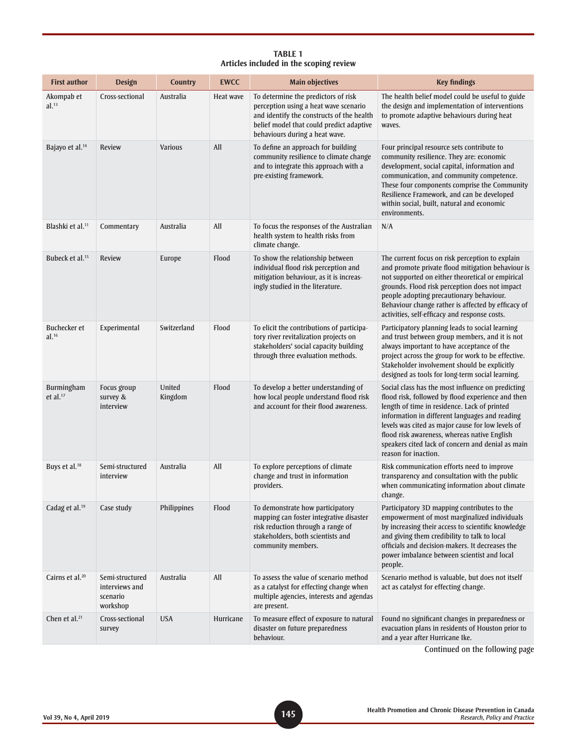#### **TABLE 1 Articles included in the scoping review**

| <b>First author</b>               | <b>Design</b>                                             | <b>Country</b>    | <b>EWCC</b> | <b>Main objectives</b>                                                                                                                                                                                  | <b>Key findings</b>                                                                                                                                                                                                                                                                                                                                                                        |
|-----------------------------------|-----------------------------------------------------------|-------------------|-------------|---------------------------------------------------------------------------------------------------------------------------------------------------------------------------------------------------------|--------------------------------------------------------------------------------------------------------------------------------------------------------------------------------------------------------------------------------------------------------------------------------------------------------------------------------------------------------------------------------------------|
| Akompab et<br>al. <sup>13</sup>   | Cross-sectional                                           | Australia         | Heat wave   | To determine the predictors of risk<br>perception using a heat wave scenario<br>and identify the constructs of the health<br>belief model that could predict adaptive<br>behaviours during a heat wave. | The health belief model could be useful to guide<br>the design and implementation of interventions<br>to promote adaptive behaviours during heat<br>waves.                                                                                                                                                                                                                                 |
| Bajayo et al. <sup>14</sup>       | <b>Review</b>                                             | <b>Various</b>    | All         | To define an approach for building<br>community resilience to climate change<br>and to integrate this approach with a<br>pre-existing framework.                                                        | Four principal resource sets contribute to<br>community resilience. They are: economic<br>development, social capital, information and<br>communication, and community competence.<br>These four components comprise the Community<br>Resilience Framework, and can be developed<br>within social, built, natural and economic<br>environments.                                            |
| Blashki et al. <sup>11</sup>      | Commentary                                                | Australia         | All         | To focus the responses of the Australian<br>health system to health risks from<br>climate change.                                                                                                       | N/A                                                                                                                                                                                                                                                                                                                                                                                        |
| Bubeck et al. <sup>15</sup>       | <b>Review</b>                                             | Europe            | Flood       | To show the relationship between<br>individual flood risk perception and<br>mitigation behaviour, as it is increas-<br>ingly studied in the literature.                                                 | The current focus on risk perception to explain<br>and promote private flood mitigation behaviour is<br>not supported on either theoretical or empirical<br>grounds. Flood risk perception does not impact<br>people adopting precautionary behaviour.<br>Behaviour change rather is affected by efficacy of<br>activities, self-efficacy and response costs.                              |
| Buchecker et<br>al. <sup>16</sup> | Experimental                                              | Switzerland       | Flood       | To elicit the contributions of participa-<br>tory river revitalization projects on<br>stakeholders' social capacity building<br>through three evaluation methods.                                       | Participatory planning leads to social learning<br>and trust between group members, and it is not<br>always important to have acceptance of the<br>project across the group for work to be effective.<br>Stakeholder involvement should be explicitly<br>designed as tools for long-term social learning.                                                                                  |
| Burmingham<br>et al. $17$         | Focus group<br>survey &<br>interview                      | United<br>Kingdom | Flood       | To develop a better understanding of<br>how local people understand flood risk<br>and account for their flood awareness.                                                                                | Social class has the most influence on predicting<br>flood risk, followed by flood experience and then<br>length of time in residence. Lack of printed<br>information in different languages and reading<br>levels was cited as major cause for low levels of<br>flood risk awareness, whereas native English<br>speakers cited lack of concern and denial as main<br>reason for inaction. |
| Buys et al. <sup>18</sup>         | Semi-structured<br>interview                              | Australia         | All         | To explore perceptions of climate<br>change and trust in information<br>providers.                                                                                                                      | Risk communication efforts need to improve<br>transparency and consultation with the public<br>when communicating information about climate<br>change.                                                                                                                                                                                                                                     |
| Cadag et al. <sup>19</sup>        | Case study                                                | Philippines       | Flood       | To demonstrate how participatory<br>mapping can foster integrative disaster<br>risk reduction through a range of<br>stakeholders, both scientists and<br>community members.                             | Participatory 3D mapping contributes to the<br>empowerment of most marginalized individuals<br>by increasing their access to scientific knowledge<br>and giving them credibility to talk to local<br>officials and decision-makers. It decreases the<br>power imbalance between scientist and local<br>people.                                                                             |
| Cairns et al. <sup>20</sup>       | Semi-structured<br>interviews and<br>scenario<br>workshop | Australia         | All         | To assess the value of scenario method<br>as a catalyst for effecting change when<br>multiple agencies, interests and agendas<br>are present.                                                           | Scenario method is valuable, but does not itself<br>act as catalyst for effecting change.                                                                                                                                                                                                                                                                                                  |
| Chen et al. $21$                  | Cross-sectional<br>survey                                 | <b>USA</b>        | Hurricane   | To measure effect of exposure to natural<br>disaster on future preparedness<br>behaviour.                                                                                                               | Found no significant changes in preparedness or<br>evacuation plans in residents of Houston prior to<br>and a year after Hurricane Ike.<br>وبالمستنبذ المتلاسمات                                                                                                                                                                                                                           |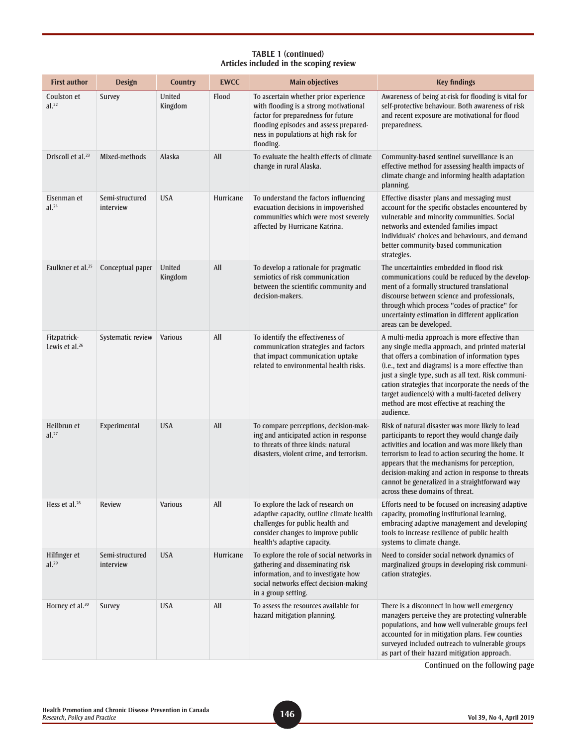| <b>First author</b>               | <b>Design</b>                | <b>Country</b>    | <b>EWCC</b> | <b>Main objectives</b>                                                                                                                                                                                               | <b>Key findings</b>                                                                                                                                                                                                                                                                                                                                                                                                                  |
|-----------------------------------|------------------------------|-------------------|-------------|----------------------------------------------------------------------------------------------------------------------------------------------------------------------------------------------------------------------|--------------------------------------------------------------------------------------------------------------------------------------------------------------------------------------------------------------------------------------------------------------------------------------------------------------------------------------------------------------------------------------------------------------------------------------|
| Coulston et<br>al. <sup>22</sup>  | Survey                       | United<br>Kingdom | Flood       | To ascertain whether prior experience<br>with flooding is a strong motivational<br>factor for preparedness for future<br>flooding episodes and assess prepared-<br>ness in populations at high risk for<br>flooding. | Awareness of being at-risk for flooding is vital for<br>self-protective behaviour. Both awareness of risk<br>and recent exposure are motivational for flood<br>preparedness.                                                                                                                                                                                                                                                         |
| Driscoll et al. <sup>23</sup>     | Mixed-methods                | Alaska            | All         | To evaluate the health effects of climate<br>change in rural Alaska.                                                                                                                                                 | Community-based sentinel surveillance is an<br>effective method for assessing health impacts of<br>climate change and informing health adaptation<br>planning.                                                                                                                                                                                                                                                                       |
| Eisenman et<br>al. <sup>24</sup>  | Semi-structured<br>interview | <b>USA</b>        | Hurricane   | To understand the factors influencing<br>evacuation decisions in impoverished<br>communities which were most severely<br>affected by Hurricane Katrina.                                                              | Effective disaster plans and messaging must<br>account for the specific obstacles encountered by<br>vulnerable and minority communities. Social<br>networks and extended families impact<br>individuals' choices and behaviours, and demand<br>better community-based communication<br>strategies.                                                                                                                                   |
| Faulkner et al. <sup>25</sup>     | Conceptual paper             | United<br>Kingdom | All         | To develop a rationale for pragmatic<br>semiotics of risk communication<br>between the scientific community and<br>decision-makers.                                                                                  | The uncertainties embedded in flood risk<br>communications could be reduced by the develop-<br>ment of a formally structured translational<br>discourse between science and professionals,<br>through which process "codes of practice" for<br>uncertainty estimation in different application<br>areas can be developed.                                                                                                            |
| Fitzpatrick-<br>Lewis et al. $26$ | Systematic review            | <b>Various</b>    | All         | To identify the effectiveness of<br>communication strategies and factors<br>that impact communication uptake<br>related to environmental health risks.                                                               | A multi-media approach is more effective than<br>any single media approach, and printed material<br>that offers a combination of information types<br>(i.e., text and diagrams) is a more effective than<br>just a single type, such as all text. Risk communi-<br>cation strategies that incorporate the needs of the<br>target audience(s) with a multi-faceted delivery<br>method are most effective at reaching the<br>audience. |
| Heilbrun et<br>al. <sup>27</sup>  | Experimental                 | <b>USA</b>        | All         | To compare perceptions, decision-mak-<br>ing and anticipated action in response<br>to threats of three kinds: natural<br>disasters, violent crime, and terrorism.                                                    | Risk of natural disaster was more likely to lead<br>participants to report they would change daily<br>activities and location and was more likely than<br>terrorism to lead to action securing the home. It<br>appears that the mechanisms for perception,<br>decision-making and action in response to threats<br>cannot be generalized in a straightforward way<br>across these domains of threat.                                 |
| Hess et al. <sup>28</sup>         | Review                       | <b>Various</b>    | All         | To explore the lack of research on<br>adaptive capacity, outline climate health<br>challenges for public health and<br>consider changes to improve public<br>health's adaptive capacity.                             | Efforts need to be focused on increasing adaptive<br>capacity, promoting institutional learning,<br>embracing adaptive management and developing<br>tools to increase resilience of public health<br>systems to climate change.                                                                                                                                                                                                      |
| Hilfinger et<br>al. <sup>29</sup> | Semi-structured<br>interview | <b>USA</b>        | Hurricane   | To explore the role of social networks in<br>gathering and disseminating risk<br>information, and to investigate how<br>social networks effect decision-making<br>in a group setting.                                | Need to consider social network dynamics of<br>marginalized groups in developing risk communi-<br>cation strategies.                                                                                                                                                                                                                                                                                                                 |
| Horney et al. <sup>30</sup>       | Survey                       | <b>USA</b>        | All         | To assess the resources available for<br>hazard mitigation planning.                                                                                                                                                 | There is a disconnect in how well emergency<br>managers perceive they are protecting vulnerable<br>populations, and how well vulnerable groups feel<br>accounted for in mitigation plans. Few counties<br>surveyed included outreach to vulnerable groups<br>as part of their hazard mitigation approach.                                                                                                                            |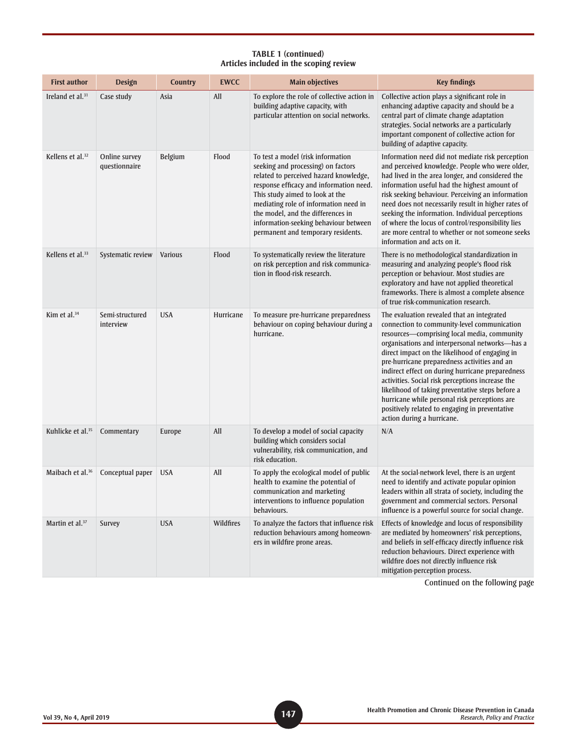| <b>First author</b>           | <b>Design</b>                  | <b>Country</b> | <b>EWCC</b> | <b>Main objectives</b>                                                                                                                                                                                                                                                                                                                                       | <b>Key findings</b>                                                                                                                                                                                                                                                                                                                                                                                                                                                                                                                                                                       |
|-------------------------------|--------------------------------|----------------|-------------|--------------------------------------------------------------------------------------------------------------------------------------------------------------------------------------------------------------------------------------------------------------------------------------------------------------------------------------------------------------|-------------------------------------------------------------------------------------------------------------------------------------------------------------------------------------------------------------------------------------------------------------------------------------------------------------------------------------------------------------------------------------------------------------------------------------------------------------------------------------------------------------------------------------------------------------------------------------------|
| Ireland et al. $31$           | Case study                     | Asia           | All         | To explore the role of collective action in<br>building adaptive capacity, with<br>particular attention on social networks.                                                                                                                                                                                                                                  | Collective action plays a significant role in<br>enhancing adaptive capacity and should be a<br>central part of climate change adaptation<br>strategies. Social networks are a particularly<br>important component of collective action for<br>building of adaptive capacity.                                                                                                                                                                                                                                                                                                             |
| Kellens et al. <sup>32</sup>  | Online survey<br>questionnaire | Belgium        | Flood       | To test a model (risk information<br>seeking and processing) on factors<br>related to perceived hazard knowledge,<br>response efficacy and information need.<br>This study aimed to look at the<br>mediating role of information need in<br>the model, and the differences in<br>information-seeking behaviour between<br>permanent and temporary residents. | Information need did not mediate risk perception<br>and perceived knowledge. People who were older,<br>had lived in the area longer, and considered the<br>information useful had the highest amount of<br>risk seeking behaviour. Perceiving an information<br>need does not necessarily result in higher rates of<br>seeking the information. Individual perceptions<br>of where the locus of control/responsibility lies<br>are more central to whether or not someone seeks<br>information and acts on it.                                                                            |
| Kellens et al. <sup>33</sup>  | Systematic review              | <b>Various</b> | Flood       | To systematically review the literature<br>on risk perception and risk communica-<br>tion in flood-risk research.                                                                                                                                                                                                                                            | There is no methodological standardization in<br>measuring and analyzing people's flood risk<br>perception or behaviour. Most studies are<br>exploratory and have not applied theoretical<br>frameworks. There is almost a complete absence<br>of true risk-communication research.                                                                                                                                                                                                                                                                                                       |
| Kim et al. $34$               | Semi-structured<br>interview   | <b>USA</b>     | Hurricane   | To measure pre-hurricane preparedness<br>behaviour on coping behaviour during a<br>hurricane.                                                                                                                                                                                                                                                                | The evaluation revealed that an integrated<br>connection to community-level communication<br>resources-comprising local media, community<br>organisations and interpersonal networks-has a<br>direct impact on the likelihood of engaging in<br>pre-hurricane preparedness activities and an<br>indirect effect on during hurricane preparedness<br>activities. Social risk perceptions increase the<br>likelihood of taking preventative steps before a<br>hurricane while personal risk perceptions are<br>positively related to engaging in preventative<br>action during a hurricane. |
| Kuhlicke et al. <sup>35</sup> | Commentary                     | Europe         | All         | To develop a model of social capacity<br>building which considers social<br>vulnerability, risk communication, and<br>risk education.                                                                                                                                                                                                                        | N/A                                                                                                                                                                                                                                                                                                                                                                                                                                                                                                                                                                                       |
| Maibach et al. <sup>36</sup>  | Conceptual paper               | <b>USA</b>     | All         | To apply the ecological model of public<br>health to examine the potential of<br>communication and marketing<br>interventions to influence population<br>behaviours.                                                                                                                                                                                         | At the social-network level, there is an urgent<br>need to identify and activate popular opinion<br>leaders within all strata of society, including the<br>government and commercial sectors. Personal<br>influence is a powerful source for social change.                                                                                                                                                                                                                                                                                                                               |
| Martin et al. <sup>37</sup>   | Survey                         | <b>USA</b>     | Wildfires   | To analyze the factors that influence risk<br>reduction behaviours among homeown-<br>ers in wildfire prone areas.                                                                                                                                                                                                                                            | Effects of knowledge and locus of responsibility<br>are mediated by homeowners' risk perceptions,<br>and beliefs in self-efficacy directly influence risk<br>reduction behaviours. Direct experience with<br>wildfire does not directly influence risk<br>mitigation-perception process.                                                                                                                                                                                                                                                                                                  |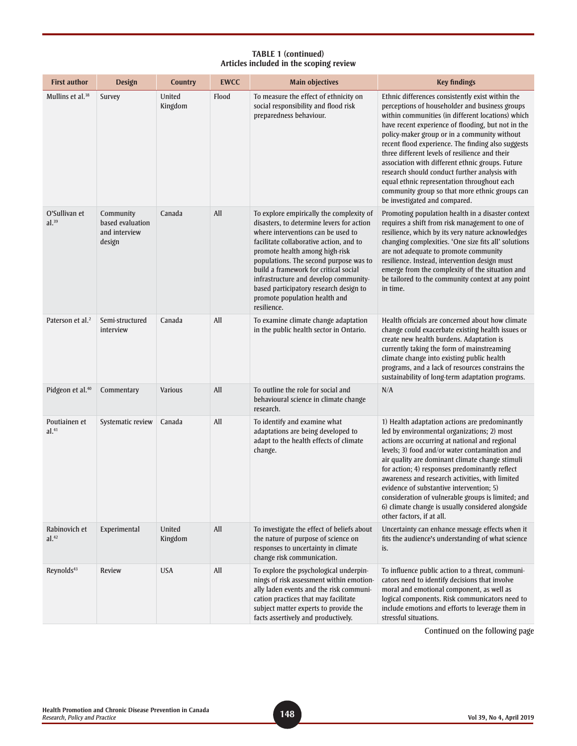| <b>First author</b>                | <b>Design</b>                                            | <b>Country</b>    | <b>EWCC</b> | <b>Main objectives</b>                                                                                                                                                                                                                                                                                                                                                                                                         | <b>Key findings</b>                                                                                                                                                                                                                                                                                                                                                                                                                                                                                                                                                                                          |
|------------------------------------|----------------------------------------------------------|-------------------|-------------|--------------------------------------------------------------------------------------------------------------------------------------------------------------------------------------------------------------------------------------------------------------------------------------------------------------------------------------------------------------------------------------------------------------------------------|--------------------------------------------------------------------------------------------------------------------------------------------------------------------------------------------------------------------------------------------------------------------------------------------------------------------------------------------------------------------------------------------------------------------------------------------------------------------------------------------------------------------------------------------------------------------------------------------------------------|
| Mullins et al. <sup>38</sup>       | Survey                                                   | United<br>Kingdom | Flood       | To measure the effect of ethnicity on<br>social responsibility and flood risk<br>preparedness behaviour.                                                                                                                                                                                                                                                                                                                       | Ethnic differences consistently exist within the<br>perceptions of householder and business groups<br>within communities (in different locations) which<br>have recent experience of flooding, but not in the<br>policy-maker group or in a community without<br>recent flood experience. The finding also suggests<br>three different levels of resilience and their<br>association with different ethnic groups. Future<br>research should conduct further analysis with<br>equal ethnic representation throughout each<br>community group so that more ethnic groups can<br>be investigated and compared. |
| O'Sullivan et<br>$al.^{39}$        | Community<br>based evaluation<br>and interview<br>design | Canada            | All         | To explore empirically the complexity of<br>disasters, to determine levers for action<br>where interventions can be used to<br>facilitate collaborative action, and to<br>promote health among high-risk<br>populations. The second purpose was to<br>build a framework for critical social<br>infrastructure and develop community-<br>based participatory research design to<br>promote population health and<br>resilience. | Promoting population health in a disaster context<br>requires a shift from risk management to one of<br>resilience, which by its very nature acknowledges<br>changing complexities. 'One size fits all' solutions<br>are not adequate to promote community<br>resilience. Instead, intervention design must<br>emerge from the complexity of the situation and<br>be tailored to the community context at any point<br>in time.                                                                                                                                                                              |
| Paterson et al. <sup>2</sup>       | Semi-structured<br>interview                             | Canada            | All         | To examine climate change adaptation<br>in the public health sector in Ontario.                                                                                                                                                                                                                                                                                                                                                | Health officials are concerned about how climate<br>change could exacerbate existing health issues or<br>create new health burdens. Adaptation is<br>currently taking the form of mainstreaming<br>climate change into existing public health<br>programs, and a lack of resources constrains the<br>sustainability of long-term adaptation programs.                                                                                                                                                                                                                                                        |
| Pidgeon et al. <sup>40</sup>       | Commentary                                               | Various           | All         | To outline the role for social and<br>behavioural science in climate change<br>research.                                                                                                                                                                                                                                                                                                                                       | N/A                                                                                                                                                                                                                                                                                                                                                                                                                                                                                                                                                                                                          |
| Poutiainen et<br>al. <sup>41</sup> | Systematic review                                        | Canada            | All         | To identify and examine what<br>adaptations are being developed to<br>adapt to the health effects of climate<br>change.                                                                                                                                                                                                                                                                                                        | 1) Health adaptation actions are predominantly<br>led by environmental organizations; 2) most<br>actions are occurring at national and regional<br>levels; 3) food and/or water contamination and<br>air quality are dominant climate change stimuli<br>for action; 4) responses predominantly reflect<br>awareness and research activities, with limited<br>evidence of substantive intervention; 5)<br>consideration of vulnerable groups is limited; and<br>6) climate change is usually considered alongside<br>other factors, if at all.                                                                |
| Rabinovich et<br>al. <sup>42</sup> | Experimental                                             | United<br>Kingdom | All         | To investigate the effect of beliefs about<br>the nature of purpose of science on<br>responses to uncertainty in climate<br>change risk communication.                                                                                                                                                                                                                                                                         | Uncertainty can enhance message effects when it<br>fits the audience's understanding of what science<br>is.                                                                                                                                                                                                                                                                                                                                                                                                                                                                                                  |
| Reynolds <sup>43</sup>             | <b>Review</b>                                            | <b>USA</b>        | All         | To explore the psychological underpin-<br>nings of risk assessment within emotion-<br>ally laden events and the risk communi-<br>cation practices that may facilitate<br>subject matter experts to provide the<br>facts assertively and productively.                                                                                                                                                                          | To influence public action to a threat, communi-<br>cators need to identify decisions that involve<br>moral and emotional component, as well as<br>logical components. Risk communicators need to<br>include emotions and efforts to leverage them in<br>stressful situations.                                                                                                                                                                                                                                                                                                                               |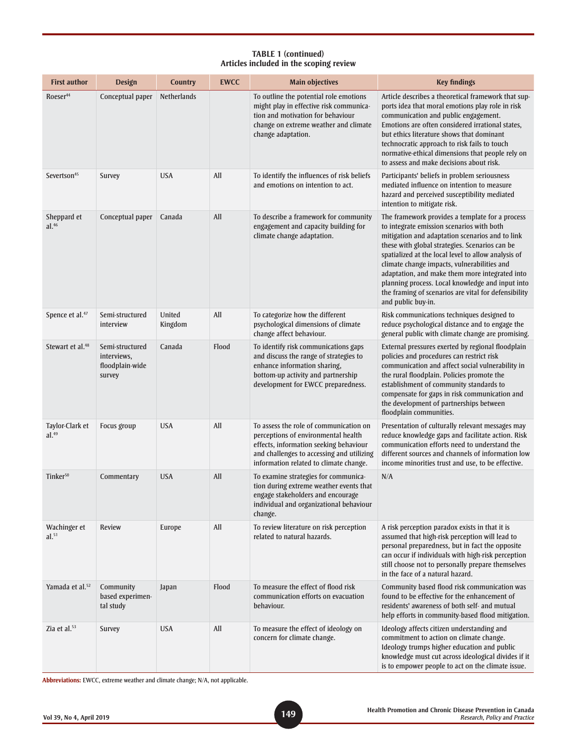| <b>First author</b>                  | <b>Design</b>                                               | <b>Country</b>     | <b>EWCC</b> | <b>Main objectives</b>                                                                                                                                                                                         | <b>Key findings</b>                                                                                                                                                                                                                                                                                                                                                                                                                                                                         |
|--------------------------------------|-------------------------------------------------------------|--------------------|-------------|----------------------------------------------------------------------------------------------------------------------------------------------------------------------------------------------------------------|---------------------------------------------------------------------------------------------------------------------------------------------------------------------------------------------------------------------------------------------------------------------------------------------------------------------------------------------------------------------------------------------------------------------------------------------------------------------------------------------|
| Roeser <sup>44</sup>                 | Conceptual paper                                            | <b>Netherlands</b> |             | To outline the potential role emotions<br>might play in effective risk communica-<br>tion and motivation for behaviour<br>change on extreme weather and climate<br>change adaptation.                          | Article describes a theoretical framework that sup-<br>ports idea that moral emotions play role in risk<br>communication and public engagement.<br>Emotions are often considered irrational states,<br>but ethics literature shows that dominant<br>technocratic approach to risk fails to touch<br>normative-ethical dimensions that people rely on<br>to assess and make decisions about risk.                                                                                            |
| Severtson <sup>45</sup>              | Survey                                                      | <b>USA</b>         | All         | To identify the influences of risk beliefs<br>and emotions on intention to act.                                                                                                                                | Participants' beliefs in problem seriousness<br>mediated influence on intention to measure<br>hazard and perceived susceptibility mediated<br>intention to mitigate risk.                                                                                                                                                                                                                                                                                                                   |
| Sheppard et<br>al. <sup>46</sup>     | Conceptual paper                                            | Canada             | All         | To describe a framework for community<br>engagement and capacity building for<br>climate change adaptation.                                                                                                    | The framework provides a template for a process<br>to integrate emission scenarios with both<br>mitigation and adaptation scenarios and to link<br>these with global strategies. Scenarios can be<br>spatialized at the local level to allow analysis of<br>climate change impacts, vulnerabilities and<br>adaptation, and make them more integrated into<br>planning process. Local knowledge and input into<br>the framing of scenarios are vital for defensibility<br>and public buy-in. |
| Spence et al. <sup>47</sup>          | Semi-structured<br>interview                                | United<br>Kingdom  | All         | To categorize how the different<br>psychological dimensions of climate<br>change affect behaviour.                                                                                                             | Risk communications techniques designed to<br>reduce psychological distance and to engage the<br>general public with climate change are promising.                                                                                                                                                                                                                                                                                                                                          |
| Stewart et al. <sup>48</sup>         | Semi-structured<br>interviews,<br>floodplain-wide<br>survey | Canada             | Flood       | To identify risk communications gaps<br>and discuss the range of strategies to<br>enhance information sharing,<br>bottom-up activity and partnership<br>development for EWCC preparedness.                     | External pressures exerted by regional floodplain<br>policies and procedures can restrict risk<br>communication and affect social vulnerability in<br>the rural floodplain. Policies promote the<br>establishment of community standards to<br>compensate for gaps in risk communication and<br>the development of partnerships between<br>floodplain communities.                                                                                                                          |
| Taylor-Clark et<br>al. <sup>49</sup> | Focus group                                                 | <b>USA</b>         | All         | To assess the role of communication on<br>perceptions of environmental health<br>effects, information seeking behaviour<br>and challenges to accessing and utilizing<br>information related to climate change. | Presentation of culturally relevant messages may<br>reduce knowledge gaps and facilitate action. Risk<br>communication efforts need to understand the<br>different sources and channels of information low<br>income minorities trust and use, to be effective.                                                                                                                                                                                                                             |
| Tinker <sup>50</sup>                 | Commentary                                                  | <b>USA</b>         | All         | To examine strategies for communica-<br>tion during extreme weather events that<br>engage stakeholders and encourage<br>individual and organizational behaviour<br>change.                                     | N/A                                                                                                                                                                                                                                                                                                                                                                                                                                                                                         |
| Wachinger et<br>al.51                | <b>Review</b>                                               | Europe             | All         | To review literature on risk perception<br>related to natural hazards.                                                                                                                                         | A risk perception paradox exists in that it is<br>assumed that high-risk perception will lead to<br>personal preparedness, but in fact the opposite<br>can occur if individuals with high-risk perception<br>still choose not to personally prepare themselves<br>in the face of a natural hazard.                                                                                                                                                                                          |
| Yamada et al. <sup>52</sup>          | Community<br>based experimen-<br>tal study                  | Japan              | Flood       | To measure the effect of flood risk<br>communication efforts on evacuation<br>behaviour.                                                                                                                       | Community based flood risk communication was<br>found to be effective for the enhancement of<br>residents' awareness of both self- and mutual<br>help efforts in community-based flood mitigation.                                                                                                                                                                                                                                                                                          |
| Zia et al. $53$                      | Survey                                                      | <b>USA</b>         | All         | To measure the effect of ideology on<br>concern for climate change.                                                                                                                                            | Ideology affects citizen understanding and<br>commitment to action on climate change.<br>Ideology trumps higher education and public<br>knowledge must cut across ideological divides if it<br>is to empower people to act on the climate issue.                                                                                                                                                                                                                                            |

**Abbreviations:** EWCC, extreme weather and climate change; N/A, not applicable.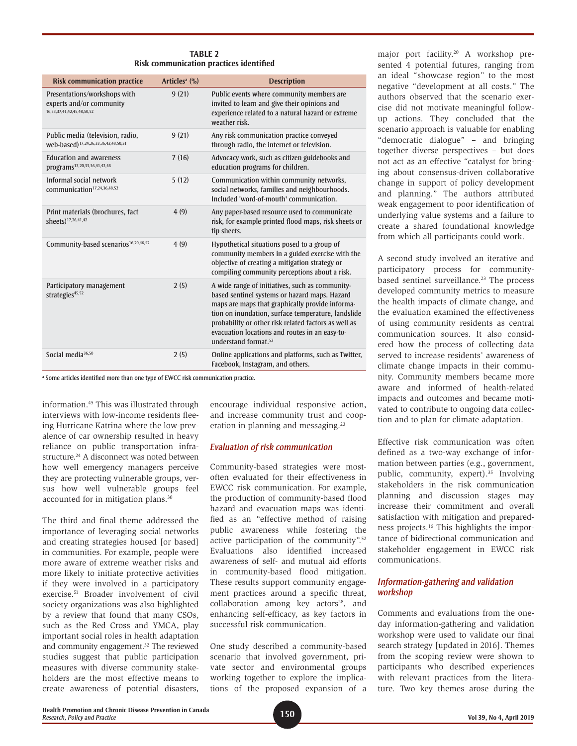| <b>TABLE 2</b>                          |  |
|-----------------------------------------|--|
| Risk communication practices identified |  |

| <b>Risk communication practice</b>                                                             | Articles <sup>a</sup> $(\%)$ | <b>Description</b>                                                                                                                                                                                                                                                                                                                                      |
|------------------------------------------------------------------------------------------------|------------------------------|---------------------------------------------------------------------------------------------------------------------------------------------------------------------------------------------------------------------------------------------------------------------------------------------------------------------------------------------------------|
| Presentations/workshops with<br>experts and/or community<br>16, 33, 37, 41, 42, 45, 48, 50, 52 | 9(21)                        | Public events where community members are<br>invited to learn and give their opinions and<br>experience related to a natural hazard or extreme<br>weather risk.                                                                                                                                                                                         |
| Public media (television, radio,<br>web-based) <sup>17,24,26,33,36,42,48,50,51</sup>           | 9(21)                        | Any risk communication practice conveyed<br>through radio, the internet or television.                                                                                                                                                                                                                                                                  |
| <b>Education and awareness</b><br>programs <sup>17,20,33,36,41,42,48</sup>                     | 7(16)                        | Advocacy work, such as citizen guidebooks and<br>education programs for children.                                                                                                                                                                                                                                                                       |
| Informal social network<br>communication <sup>17,24,36,48,52</sup>                             | 5(12)                        | Communication within community networks,<br>social networks, families and neighbourhoods.<br>Included 'word-of-mouth' communication.                                                                                                                                                                                                                    |
| Print materials (brochures, fact<br>sheets) <sup>17,26,41,42</sup>                             | 4(9)                         | Any paper-based resource used to communicate<br>risk, for example printed flood maps, risk sheets or<br>tip sheets.                                                                                                                                                                                                                                     |
| Community-based scenarios <sup>16,20,46,52</sup>                                               | 4(9)                         | Hypothetical situations posed to a group of<br>community members in a guided exercise with the<br>objective of creating a mitigation strategy or<br>compiling community perceptions about a risk.                                                                                                                                                       |
| Participatory management<br>strategies <sup>45,52</sup>                                        | 2(5)                         | A wide range of initiatives, such as community-<br>based sentinel systems or hazard maps. Hazard<br>maps are maps that graphically provide informa-<br>tion on inundation, surface temperature, landslide<br>probability or other risk related factors as well as<br>evacuation locations and routes in an easy-to-<br>understand format. <sup>52</sup> |
| Social media <sup>36,50</sup>                                                                  | 2(5)                         | Online applications and platforms, such as Twitter,<br>Facebook, Instagram, and others.                                                                                                                                                                                                                                                                 |

<sup>a</sup> Some articles identified more than one type of EWCC risk communication practice.

information.45 This was illustrated through interviews with low-income residents fleeing Hurricane Katrina where the low-prevalence of car ownership resulted in heavy reliance on public transportation infrastructure.<sup>24</sup> A disconnect was noted between how well emergency managers perceive they are protecting vulnerable groups, versus how well vulnerable groups feel accounted for in mitigation plans.30

The third and final theme addressed the importance of leveraging social networks and creating strategies housed [or based] in communities. For example, people were more aware of extreme weather risks and more likely to initiate protective activities if they were involved in a participatory exercise.51 Broader involvement of civil society organizations was also highlighted by a review that found that many CSOs, such as the Red Cross and YMCA, play important social roles in health adaptation and community engagement.<sup>32</sup> The reviewed studies suggest that public participation measures with diverse community stakeholders are the most effective means to create awareness of potential disasters, encourage individual responsive action, and increase community trust and cooperation in planning and messaging.23

#### *Evaluation of risk communication*

Community-based strategies were mostoften evaluated for their effectiveness in EWCC risk communication. For example, the production of community-based flood hazard and evacuation maps was identified as an "effective method of raising public awareness while fostering the active participation of the community".52 Evaluations also identified increased awareness of self- and mutual aid efforts in community-based flood mitigation. These results support community engagement practices around a specific threat,  $collaboration$  among key actors<sup>28</sup>, and enhancing self-efficacy, as key factors in successful risk communication.

One study described a community-based scenario that involved government, private sector and environmental groups working together to explore the implications of the proposed expansion of a

major port facility.20 A workshop presented 4 potential futures, ranging from an ideal "showcase region" to the most negative "development at all costs." The authors observed that the scenario exercise did not motivate meaningful followup actions. They concluded that the scenario approach is valuable for enabling "democratic dialogue" – and bringing together diverse perspectives – but does not act as an effective "catalyst for bringing about consensus-driven collaborative change in support of policy development and planning." The authors attributed weak engagement to poor identification of underlying value systems and a failure to create a shared foundational knowledge from which all participants could work.

A second study involved an iterative and participatory process for communitybased sentinel surveillance.<sup>23</sup> The process developed community metrics to measure the health impacts of climate change, and the evaluation examined the effectiveness of using community residents as central communication sources. It also considered how the process of collecting data served to increase residents' awareness of climate change impacts in their community. Community members became more aware and informed of health-related impacts and outcomes and became motivated to contribute to ongoing data collection and to plan for climate adaptation.

Effective risk communication was often defined as a two-way exchange of information between parties (e.g., government, public, community, expert).<sup>35</sup> Involving stakeholders in the risk communication planning and discussion stages may increase their commitment and overall satisfaction with mitigation and preparedness projects.<sup>16</sup> This highlights the importance of bidirectional communication and stakeholder engagement in EWCC risk communications.

#### *Information-gathering and validation workshop*

Comments and evaluations from the oneday information-gathering and validation workshop were used to validate our final search strategy [updated in 2016]. Themes from the scoping review were shown to participants who described experiences with relevant practices from the literature. Two key themes arose during the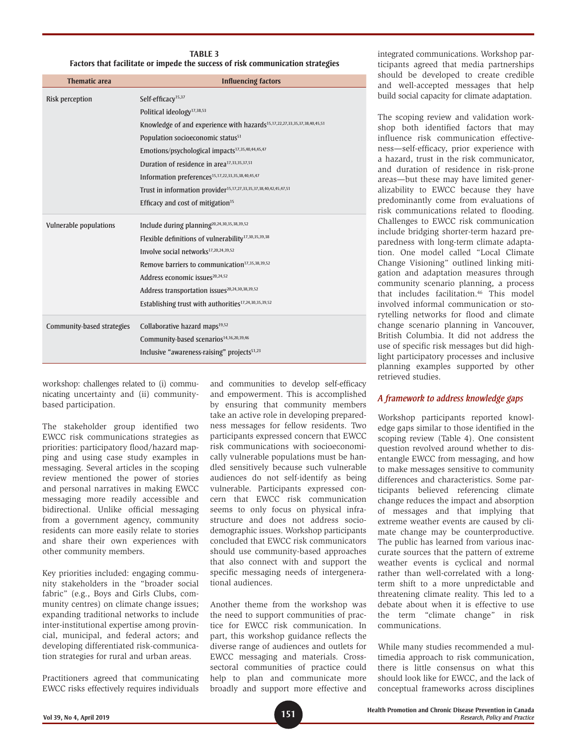#### **TABLE 3 Factors that facilitate or impede the success of risk communication strategies**

| <b>Thematic area</b>       | <b>Influencing factors</b>                                                           |
|----------------------------|--------------------------------------------------------------------------------------|
| Risk perception            | Self-efficacy <sup>15,37</sup>                                                       |
|                            | Political ideology <sup>17,38,53</sup>                                               |
|                            | Knowledge of and experience with hazards <sup>15,17,22,27,33,35,37,38,40,45,51</sup> |
|                            | Population socioeconomic status <sup>51</sup>                                        |
|                            | Emotions/psychological impacts <sup>17,35,40,44,45,47</sup>                          |
|                            | Duration of residence in area <sup>17,33,35,37,51</sup>                              |
|                            | Information preferences <sup>15,17,22,33,35,38,40,45,47</sup>                        |
|                            | Trust in information provider <sup>15,17,27,33,35,37,38,40,42,45,47,51</sup>         |
|                            | Efficacy and cost of mitigation <sup>15</sup>                                        |
| Vulnerable populations     | Include during planning <sup>20,24,30,35,38,39,52</sup>                              |
|                            | Flexible definitions of vulnerability <sup>17,30,35,39,38</sup>                      |
|                            | Involve social networks <sup>17,20,24,39,52</sup>                                    |
|                            | Remove barriers to communication <sup>17,35,38,39,52</sup>                           |
|                            | Address economic issues <sup>20,24,52</sup>                                          |
|                            | Address transportation issues <sup>20,24,30,38,39,52</sup>                           |
|                            | Establishing trust with authorities <sup>17,24,30,35,39,52</sup>                     |
| Community-based strategies | Collaborative hazard maps <sup>19,52</sup>                                           |
|                            | Community-based scenarios <sup>14,16,20,39,46</sup>                                  |
|                            | Inclusive "awareness-raising" projects <sup>51,23</sup>                              |
|                            |                                                                                      |

workshop: challenges related to (i) communicating uncertainty and (ii) communitybased participation.

The stakeholder group identified two EWCC risk communications strategies as priorities: participatory flood/hazard mapping and using case study examples in messaging. Several articles in the scoping review mentioned the power of stories and personal narratives in making EWCC messaging more readily accessible and bidirectional. Unlike official messaging from a government agency, community residents can more easily relate to stories and share their own experiences with other community members.

Key priorities included: engaging community stakeholders in the "broader social fabric" (e.g., Boys and Girls Clubs, community centres) on climate change issues; expanding traditional networks to include inter-institutional expertise among provincial, municipal, and federal actors; and developing differentiated risk-communication strategies for rural and urban areas.

Practitioners agreed that communicating EWCC risks effectively requires individuals

and communities to develop self-efficacy and empowerment. This is accomplished by ensuring that community members take an active role in developing preparedness messages for fellow residents. Two participants expressed concern that EWCC risk communications with socioeconomically vulnerable populations must be handled sensitively because such vulnerable audiences do not self-identify as being vulnerable. Participants expressed concern that EWCC risk communication seems to only focus on physical infrastructure and does not address sociodemographic issues. Workshop participants concluded that EWCC risk communicators should use community-based approaches that also connect with and support the specific messaging needs of intergenerational audiences.

Another theme from the workshop was the need to support communities of practice for EWCC risk communication. In part, this workshop guidance reflects the diverse range of audiences and outlets for EWCC messaging and materials. Crosssectoral communities of practice could help to plan and communicate more broadly and support more effective and integrated communications. Workshop participants agreed that media partnerships should be developed to create credible and well-accepted messages that help build social capacity for climate adaptation.

The scoping review and validation workshop both identified factors that may influence risk communication effectiveness—self-efficacy, prior experience with a hazard, trust in the risk communicator, and duration of residence in risk-prone areas—but these may have limited generalizability to EWCC because they have predominantly come from evaluations of risk communications related to flooding. Challenges to EWCC risk communication include bridging shorter-term hazard preparedness with long-term climate adaptation. One model called "Local Climate Change Visioning" outlined linking mitigation and adaptation measures through community scenario planning, a process that includes facilitation.<sup>46</sup> This model involved informal communication or storytelling networks for flood and climate change scenario planning in Vancouver, British Columbia. It did not address the use of specific risk messages but did highlight participatory processes and inclusive planning examples supported by other retrieved studies.

### *A framework to address knowledge gaps*

Workshop participants reported knowledge gaps similar to those identified in the scoping review (Table 4). One consistent question revolved around whether to disentangle EWCC from messaging, and how to make messages sensitive to community differences and characteristics. Some participants believed referencing climate change reduces the impact and absorption of messages and that implying that extreme weather events are caused by climate change may be counterproductive. The public has learned from various inaccurate sources that the pattern of extreme weather events is cyclical and normal rather than well-correlated with a longterm shift to a more unpredictable and threatening climate reality. This led to a debate about when it is effective to use the term "climate change" in risk communications.

While many studies recommended a multimedia approach to risk communication, there is little consensus on what this should look like for EWCC, and the lack of conceptual frameworks across disciplines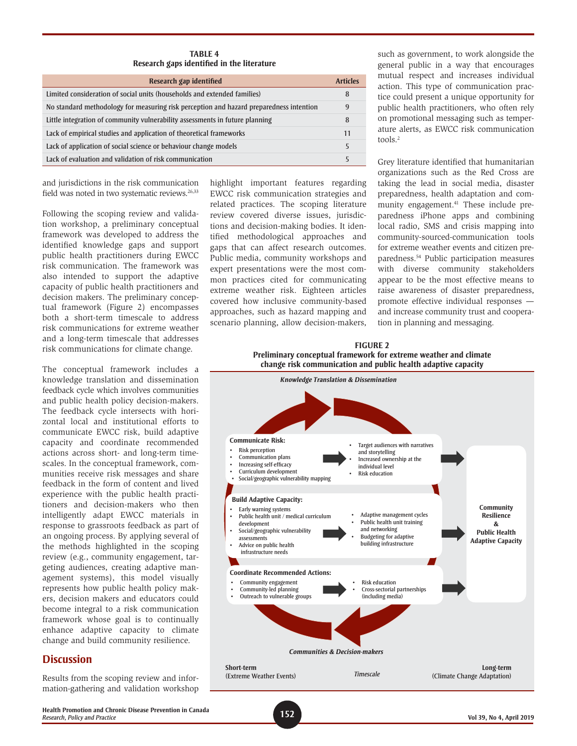**TABLE 4 Research gaps identified in the literature**

| Research gap identified                                                                 | <b>Articles</b> |
|-----------------------------------------------------------------------------------------|-----------------|
| Limited consideration of social units (households and extended families)                | 8               |
| No standard methodology for measuring risk perception and hazard preparedness intention | 9               |
| Little integration of community vulnerability assessments in future planning            | 8               |
| Lack of empirical studies and application of theoretical frameworks                     | 11              |
| Lack of application of social science or behaviour change models                        | 5               |
| Lack of evaluation and validation of risk communication                                 |                 |

and jurisdictions in the risk communication field was noted in two systematic reviews.<sup>26,33</sup>

Following the scoping review and validation workshop, a preliminary conceptual framework was developed to address the identified knowledge gaps and support public health practitioners during EWCC risk communication. The framework was also intended to support the adaptive capacity of public health practitioners and decision makers. The preliminary conceptual framework (Figure 2) encompasses both a short-term timescale to address risk communications for extreme weather and a long-term timescale that addresses risk communications for climate change.

The conceptual framework includes a knowledge translation and dissemination feedback cycle which involves communities and public health policy decision-makers. The feedback cycle intersects with horizontal local and institutional efforts to communicate EWCC risk, build adaptive capacity and coordinate recommended actions across short- and long-term timescales. In the conceptual framework, communities receive risk messages and share feedback in the form of content and lived experience with the public health practitioners and decision-makers who then intelligently adapt EWCC materials in response to grassroots feedback as part of an ongoing process. By applying several of the methods highlighted in the scoping review (e.g., community engagement, targeting audiences, creating adaptive management systems), this model visually represents how public health policy makers, decision makers and educators could become integral to a risk communication framework whose goal is to continually enhance adaptive capacity to climate change and build community resilience.

# **Discussion**

Results from the scoping review and information-gathering and validation workshop highlight important features regarding EWCC risk communication strategies and related practices. The scoping literature review covered diverse issues, jurisdictions and decision-making bodies. It identified methodological approaches and gaps that can affect research outcomes. Public media, community workshops and expert presentations were the most common practices cited for communicating extreme weather risk. Eighteen articles covered how inclusive community-based approaches, such as hazard mapping and scenario planning, allow decision-makers, such as government, to work alongside the general public in a way that encourages mutual respect and increases individual action. This type of communication practice could present a unique opportunity for public health practitioners, who often rely on promotional messaging such as temperature alerts, as EWCC risk communication tools.2

Grey literature identified that humanitarian organizations such as the Red Cross are taking the lead in social media, disaster preparedness, health adaptation and community engagement.<sup>41</sup> These include preparedness iPhone apps and combining local radio, SMS and crisis mapping into community-sourced-communication tools for extreme weather events and citizen preparedness.54 Public participation measures with diverse community stakeholders appear to be the most effective means to raise awareness of disaster preparedness, promote effective individual responses and increase community trust and cooperation in planning and messaging.



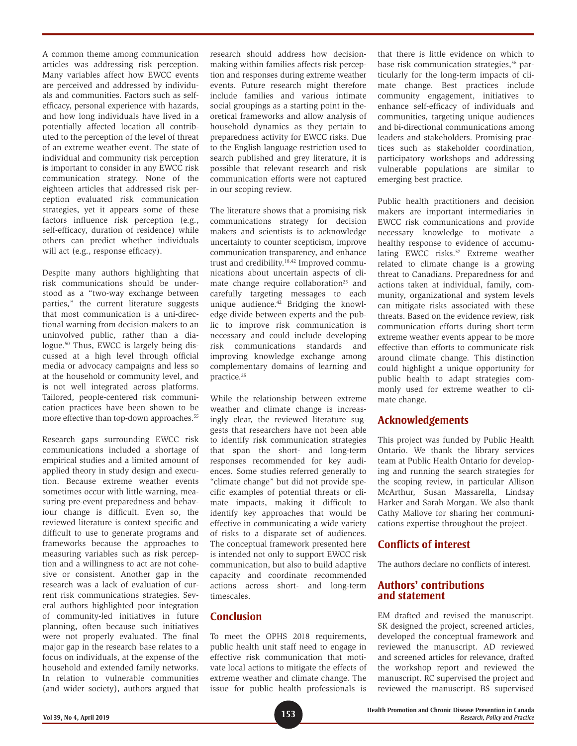A common theme among communication articles was addressing risk perception. Many variables affect how EWCC events are perceived and addressed by individuals and communities. Factors such as selfefficacy, personal experience with hazards, and how long individuals have lived in a potentially affected location all contributed to the perception of the level of threat of an extreme weather event. The state of individual and community risk perception is important to consider in any EWCC risk communication strategy. None of the eighteen articles that addressed risk perception evaluated risk communication strategies, yet it appears some of these factors influence risk perception (e.g., self-efficacy, duration of residence) while others can predict whether individuals will act (e.g., response efficacy).

Despite many authors highlighting that risk communications should be understood as a "two-way exchange between parties," the current literature suggests that most communication is a uni-directional warning from decision-makers to an uninvolved public, rather than a dialogue.<sup>50</sup> Thus, EWCC is largely being discussed at a high level through official media or advocacy campaigns and less so at the household or community level, and is not well integrated across platforms. Tailored, people-centered risk communication practices have been shown to be more effective than top-down approaches.<sup>55</sup>

Research gaps surrounding EWCC risk communications included a shortage of empirical studies and a limited amount of applied theory in study design and execution. Because extreme weather events sometimes occur with little warning, measuring pre-event preparedness and behaviour change is difficult. Even so, the reviewed literature is context specific and difficult to use to generate programs and frameworks because the approaches to measuring variables such as risk perception and a willingness to act are not cohesive or consistent. Another gap in the research was a lack of evaluation of current risk communications strategies. Several authors highlighted poor integration of community-led initiatives in future planning, often because such initiatives were not properly evaluated. The final major gap in the research base relates to a focus on individuals, at the expense of the household and extended family networks. In relation to vulnerable communities (and wider society), authors argued that research should address how decisionmaking within families affects risk perception and responses during extreme weather events. Future research might therefore include families and various intimate social groupings as a starting point in theoretical frameworks and allow analysis of household dynamics as they pertain to preparedness activity for EWCC risks. Due to the English language restriction used to search published and grey literature, it is possible that relevant research and risk communication efforts were not captured in our scoping review.

The literature shows that a promising risk communications strategy for decision makers and scientists is to acknowledge uncertainty to counter scepticism, improve communication transparency, and enhance trust and credibility.18,42 Improved communications about uncertain aspects of climate change require collaboration<sup>25</sup> and carefully targeting messages to each unique audience.42 Bridging the knowledge divide between experts and the public to improve risk communication is necessary and could include developing risk communications standards and improving knowledge exchange among complementary domains of learning and practice.25

While the relationship between extreme weather and climate change is increasingly clear, the reviewed literature suggests that researchers have not been able to identify risk communication strategies that span the short- and long-term responses recommended for key audiences. Some studies referred generally to "climate change" but did not provide specific examples of potential threats or climate impacts, making it difficult to identify key approaches that would be effective in communicating a wide variety of risks to a disparate set of audiences. The conceptual framework presented here is intended not only to support EWCC risk communication, but also to build adaptive capacity and coordinate recommended actions across short- and long-term timescales.

# **Conclusion**

To meet the OPHS 2018 requirements, public health unit staff need to engage in effective risk communication that motivate local actions to mitigate the effects of extreme weather and climate change. The issue for public health professionals is that there is little evidence on which to base risk communication strategies,<sup>56</sup> particularly for the long-term impacts of climate change. Best practices include community engagement, initiatives to enhance self-efficacy of individuals and communities, targeting unique audiences and bi-directional communications among leaders and stakeholders. Promising practices such as stakeholder coordination, participatory workshops and addressing vulnerable populations are similar to emerging best practice.

Public health practitioners and decision makers are important intermediaries in EWCC risk communications and provide necessary knowledge to motivate a healthy response to evidence of accumulating EWCC risks.<sup>57</sup> Extreme weather related to climate change is a growing threat to Canadians. Preparedness for and actions taken at individual, family, community, organizational and system levels can mitigate risks associated with these threats. Based on the evidence review, risk communication efforts during short-term extreme weather events appear to be more effective than efforts to communicate risk around climate change. This distinction could highlight a unique opportunity for public health to adapt strategies commonly used for extreme weather to climate change.

# **Acknowledgements**

This project was funded by Public Health Ontario. We thank the library services team at Public Health Ontario for developing and running the search strategies for the scoping review, in particular Allison McArthur, Susan Massarella, Lindsay Harker and Sarah Morgan. We also thank Cathy Mallove for sharing her communications expertise throughout the project.

# **Conflicts of interest**

The authors declare no conflicts of interest.

# **Authors' contributions and statement**

EM drafted and revised the manuscript. SK designed the project, screened articles, developed the conceptual framework and reviewed the manuscript. AD reviewed and screened articles for relevance, drafted the workshop report and reviewed the manuscript. RC supervised the project and reviewed the manuscript. BS supervised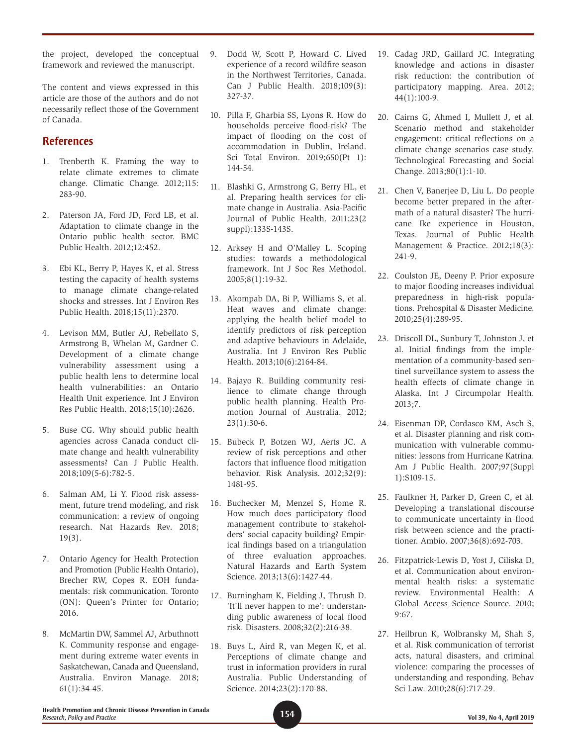the project, developed the conceptual framework and reviewed the manuscript.

The content and views expressed in this article are those of the authors and do not necessarily reflect those of the Government of Canada.

# **References**

- 1. Trenberth K. Framing the way to relate climate extremes to climate change. Climatic Change. 2012;115: 283-90.
- 2. Paterson JA, Ford JD, Ford LB, et al. Adaptation to climate change in the Ontario public health sector. BMC Public Health. 2012;12:452.
- 3. Ebi KL, Berry P, Hayes K, et al. Stress testing the capacity of health systems to manage climate change-related shocks and stresses. Int J Environ Res Public Health. 2018;15(11):2370.
- 4. Levison MM, Butler AJ, Rebellato S, Armstrong B, Whelan M, Gardner C. Development of a climate change vulnerability assessment using a public health lens to determine local health vulnerabilities: an Ontario Health Unit experience. Int J Environ Res Public Health. 2018;15(10):2626.
- 5. Buse CG. Why should public health agencies across Canada conduct climate change and health vulnerability assessments? Can J Public Health. 2018;109(5-6):782-5.
- 6. Salman AM, Li Y. Flood risk assessment, future trend modeling, and risk communication: a review of ongoing research. Nat Hazards Rev. 2018; 19(3).
- 7. Ontario Agency for Health Protection and Promotion (Public Health Ontario), Brecher RW, Copes R. EOH fundamentals: risk communication. Toronto (ON): Queen's Printer for Ontario; 2016.
- 8. McMartin DW, Sammel AJ, Arbuthnott K. Community response and engagement during extreme water events in Saskatchewan, Canada and Queensland, Australia. Environ Manage. 2018; 61(1):34-45.
- 9. Dodd W, Scott P, Howard C. Lived experience of a record wildfire season in the Northwest Territories, Canada. Can J Public Health. 2018;109(3): 327-37.
- 10. Pilla F, Gharbia SS, Lyons R. How do households perceive flood-risk? The impact of flooding on the cost of accommodation in Dublin, Ireland. Sci Total Environ. 2019;650(Pt 1): 144-54.
- 11. Blashki G, Armstrong G, Berry HL, et al. Preparing health services for climate change in Australia. Asia-Pacific Journal of Public Health. 2011;23(2 suppl):133S-143S.
- 12. Arksey H and O'Malley L. Scoping studies: towards a methodological framework. Int J Soc Res Methodol. 2005;8(1):19-32.
- 13. Akompab DA, Bi P, Williams S, et al. Heat waves and climate change: applying the health belief model to identify predictors of risk perception and adaptive behaviours in Adelaide, Australia. Int J Environ Res Public Health. 2013;10(6):2164-84.
- 14. Bajayo R. Building community resilience to climate change through public health planning. Health Promotion Journal of Australia. 2012; 23(1):30-6.
- 15. Bubeck P, Botzen WJ, Aerts JC. A review of risk perceptions and other factors that influence flood mitigation behavior. Risk Analysis. 2012;32(9): 1481-95.
- 16. Buchecker M, Menzel S, Home R. How much does participatory flood management contribute to stakeholders' social capacity building? Empirical findings based on a triangulation of three evaluation approaches. Natural Hazards and Earth System Science. 2013;13(6):1427-44.
- 17. Burningham K, Fielding J, Thrush D. 'It'll never happen to me': understanding public awareness of local flood risk. Disasters. 2008;32(2):216-38.
- 18. Buys L, Aird R, van Megen K, et al. Perceptions of climate change and trust in information providers in rural Australia. Public Understanding of Science. 2014;23(2):170-88.
- 19. Cadag JRD, Gaillard JC. Integrating knowledge and actions in disaster risk reduction: the contribution of participatory mapping. Area. 2012; 44(1):100-9.
- 20. Cairns G, Ahmed I, Mullett J, et al. Scenario method and stakeholder engagement: critical reflections on a climate change scenarios case study. Technological Forecasting and Social Change. 2013;80(1):1-10.
- 21. Chen V, Banerjee D, Liu L. Do people become better prepared in the aftermath of a natural disaster? The hurricane Ike experience in Houston, Texas. Journal of Public Health Management & Practice. 2012;18(3): 241-9.
- 22. Coulston JE, Deeny P. Prior exposure to major flooding increases individual preparedness in high-risk populations. Prehospital & Disaster Medicine. 2010;25(4):289-95.
- 23. Driscoll DL, Sunbury T, Johnston J, et al. Initial findings from the implementation of a community-based sentinel surveillance system to assess the health effects of climate change in Alaska. Int J Circumpolar Health. 2013;7.
- 24. Eisenman DP, Cordasco KM, Asch S, et al. Disaster planning and risk communication with vulnerable communities: lessons from Hurricane Katrina. Am J Public Health. 2007;97(Suppl 1):S109-15.
- 25. Faulkner H, Parker D, Green C, et al. Developing a translational discourse to communicate uncertainty in flood risk between science and the practitioner. Ambio. 2007;36(8):692-703.
- 26. Fitzpatrick-Lewis D, Yost J, Ciliska D, et al. Communication about environmental health risks: a systematic review. Environmental Health: A Global Access Science Source. 2010;  $9.67.$
- 27. Heilbrun K, Wolbransky M, Shah S, et al. Risk communication of terrorist acts, natural disasters, and criminal violence: comparing the processes of understanding and responding. Behav Sci Law. 2010;28(6):717-29.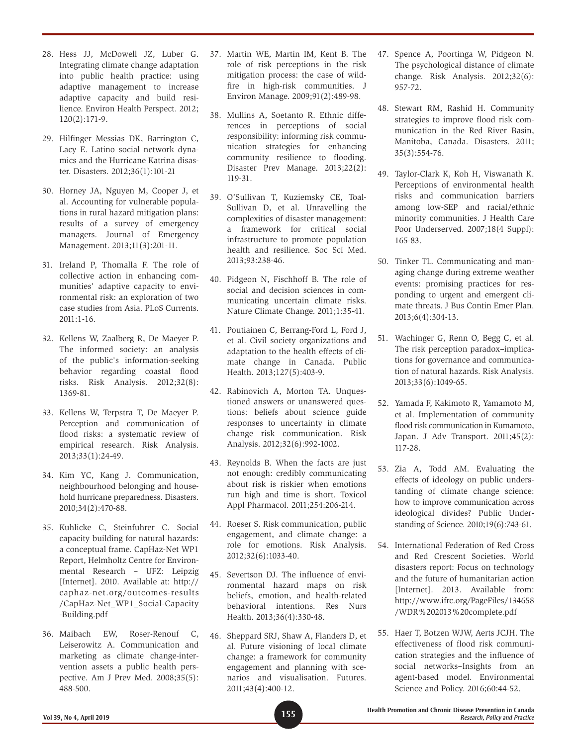- 28. Hess JJ, McDowell JZ, Luber G. Integrating climate change adaptation into public health practice: using adaptive management to increase adaptive capacity and build resilience. Environ Health Perspect. 2012; 120(2):171-9.
- 29. Hilfinger Messias DK, Barrington C, Lacy E. Latino social network dynamics and the Hurricane Katrina disaster. Disasters. 2012;36(1):101-21
- 30. Horney JA, Nguyen M, Cooper J, et al. Accounting for vulnerable populations in rural hazard mitigation plans: results of a survey of emergency managers. Journal of Emergency Management. 2013;11(3):201-11.
- 31. Ireland P, Thomalla F. The role of collective action in enhancing communities' adaptive capacity to environmental risk: an exploration of two case studies from Asia. PLoS Currents.  $2011:1-16$ .
- 32. Kellens W, Zaalberg R, De Maeyer P. The informed society: an analysis of the public's information-seeking behavior regarding coastal flood risks. Risk Analysis. 2012;32(8): 1369-81.
- 33. Kellens W, Terpstra T, De Maeyer P. Perception and communication of flood risks: a systematic review of empirical research. Risk Analysis. 2013;33(1):24-49.
- 34. Kim YC, Kang J. Communication, neighbourhood belonging and household hurricane preparedness. Disasters. 2010;34(2):470-88.
- 35. Kuhlicke C, Steinfuhrer C. Social capacity building for natural hazards: a conceptual frame. CapHaz-Net WP1 Report, Helmholtz Centre for Environmental Research – UFZ: Leipzig [Internet]. 2010. Available at: [http://](http://caphaz-net.org/outcomes-results/CapHaz-Net_WP1_Social-Capacity-Building.pdf) [caphaz-net.org/outcomes-results](http://caphaz-net.org/outcomes-results/CapHaz-Net_WP1_Social-Capacity-Building.pdf) [/CapHaz-Net\\_WP1\\_Social-Capacity](http://caphaz-net.org/outcomes-results/CapHaz-Net_WP1_Social-Capacity-Building.pdf) [-Building.pdf](http://caphaz-net.org/outcomes-results/CapHaz-Net_WP1_Social-Capacity-Building.pdf)
- 36. Maibach EW, Roser-Renouf C, Leiserowitz A. Communication and marketing as climate change-intervention assets a public health perspective. Am J Prev Med. 2008;35(5): 488-500.
- 37. Martin WE, Martin IM, Kent B. The role of risk perceptions in the risk mitigation process: the case of wildfire in high-risk communities. J Environ Manage. 2009;91(2):489-98.
- 38. Mullins A, Soetanto R. Ethnic differences in perceptions of social responsibility: informing risk communication strategies for enhancing community resilience to flooding. Disaster Prev Manage. 2013;22(2): 119-31.
- 39. O'Sullivan T, Kuziemsky CE, Toal-Sullivan D, et al. Unravelling the complexities of disaster management: a framework for critical social infrastructure to promote population health and resilience. Soc Sci Med. 2013;93:238-46.
- 40. Pidgeon N, Fischhoff B. The role of social and decision sciences in communicating uncertain climate risks. Nature Climate Change. 2011;1:35-41.
- 41. Poutiainen C, Berrang-Ford L, Ford J, et al. Civil society organizations and adaptation to the health effects of climate change in Canada. Public Health. 2013;127(5):403-9.
- 42. Rabinovich A, Morton TA. Unquestioned answers or unanswered questions: beliefs about science guide responses to uncertainty in climate change risk communication. Risk Analysis. 2012;32(6):992-1002.
- 43. Reynolds B. When the facts are just not enough: credibly communicating about risk is riskier when emotions run high and time is short. Toxicol Appl Pharmacol. 2011;254:206-214.
- 44. Roeser S. Risk communication, public engagement, and climate change: a role for emotions. Risk Analysis. 2012;32(6):1033-40.
- 45. Severtson DJ. The influence of environmental hazard maps on risk beliefs, emotion, and health-related behavioral intentions. Res Nurs Health. 2013;36(4):330-48.
- 46. Sheppard SRJ, Shaw A, Flanders D, et al. Future visioning of local climate change: a framework for community engagement and planning with scenarios and visualisation. Futures. 2011;43(4):400-12.
- 47. Spence A, Poortinga W, Pidgeon N. The psychological distance of climate change. Risk Analysis. 2012;32(6): 957-72.
- 48. Stewart RM, Rashid H. Community strategies to improve flood risk communication in the Red River Basin, Manitoba, Canada. Disasters. 2011; 35(3):554-76.
- 49. Taylor-Clark K, Koh H, Viswanath K. Perceptions of environmental health risks and communication barriers among low-SEP and racial/ethnic minority communities. J Health Care Poor Underserved. 2007;18(4 Suppl): 165-83.
- 50. Tinker TL. Communicating and managing change during extreme weather events: promising practices for responding to urgent and emergent climate threats. J Bus Contin Emer Plan. 2013;6(4):304-13.
- 51. Wachinger G, Renn O, Begg C, et al. The risk perception paradox–implications for governance and communication of natural hazards. Risk Analysis. 2013;33(6):1049-65.
- 52. Yamada F, Kakimoto R, Yamamoto M, et al. Implementation of community flood risk communication in Kumamoto, Japan. J Adv Transport. 2011;45(2): 117-28.
- 53. Zia A, Todd AM. Evaluating the effects of ideology on public understanding of climate change science: how to improve communication across ideological divides? Public Understanding of Science. 2010;19(6):743-61.
- 54. International Federation of Red Cross and Red Crescent Societies. World disasters report: Focus on technology and the future of humanitarian action [Internet]. 2013. Available from: [http://www.ifrc.org/PageFiles/134658](http://www.ifrc.org/PageFiles/134658/WDR 2013 complete.pdf) [/WDR%202013%20complete.pdf](http://www.ifrc.org/PageFiles/134658/WDR 2013 complete.pdf)
- 55. Haer T, Botzen WJW, Aerts JCJH. The effectiveness of flood risk communication strategies and the influence of social networks–Insights from an agent-based model. Environmental Science and Policy. 2016;60:44-52.